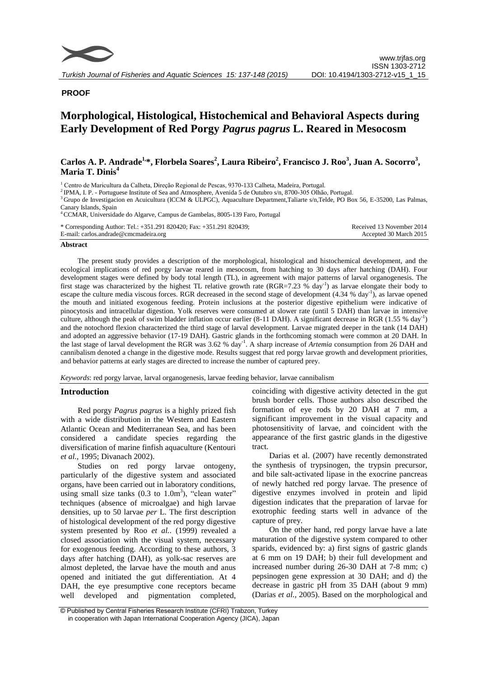

# **PROOF**

# **Morphological, Histological, Histochemical and Behavioral Aspects during Early Development of Red Porgy** *Pagrus pagrus* **L. Reared in Mesocosm**

# Carlos A. P. Andrade<sup>1,\*</sup>, Florbela Soares<sup>2</sup>, Laura Ribeiro<sup>2</sup>, Francisco J. Roo<sup>3</sup>, Juan A. Socorro<sup>3</sup>, **Maria T. Dinis<sup>4</sup>**

<sup>1</sup> Centro de Maricultura da Calheta, Direção Regional de Pescas, 9370-133 Calheta, Madeira, Portugal.

<sup>3</sup>Grupo de Investigacion en Acuicultura (ICCM & ULPGC), Aquaculture Department,Taliarte s/n,Telde, PO Box 56, E-35200, Las Palmas, Canary Islands, Spain

<sup>4</sup>CCMAR, Universidade do Algarve, Campus de Gambelas, 8005-139 Faro, Portugal

| * Corresponding Author: Tel.: +351.291 820420; Fax: +351.291 820439; | Received 13 November 2014 |
|----------------------------------------------------------------------|---------------------------|
| E-mail: carlos.andrade@cmcmadeira.org                                | Accepted 30 March 2015    |

#### **Abstract**

The present study provides a description of the morphological, histological and histochemical development, and the ecological implications of red porgy larvae reared in mesocosm, from hatching to 30 days after hatching (DAH). Four development stages were defined by body total length (TL), in agreement with major patterns of larval organogenesis. The first stage was characterized by the highest TL relative growth rate  $(RGR=7.23 \text{ % day}^{-1})$  as larvae elongate their body to escape the culture media viscous forces. RGR decreased in the second stage of development  $(4.34 % \text{ day}^{-1})$ , as larvae opened the mouth and initiated exogenous feeding. Protein inclusions at the posterior digestive epithelium were indicative of pinocytosis and intracellular digestion. Yolk reserves were consumed at slower rate (until 5 DAH) than larvae in intensive culture, although the peak of swim bladder inflation occur earlier (8-11 DAH). A significant decrease in RGR (1.55 % day<sup>-1</sup>) and the notochord flexion characterized the third stage of larval development. Larvae migrated deeper in the tank (14 DAH) and adopted an aggressive behavior (17-19 DAH). Gastric glands in the forthcoming stomach were common at 20 DAH. In the last stage of larval development the RGR was 3.62 % day<sup>-1</sup>. A sharp increase of *Artemia* consumption from 26 DAH and cannibalism denoted a change in the digestive mode. Results suggest that red porgy larvae growth and development priorities, and behavior patterns at early stages are directed to increase the number of captured prey.

*Keywords*: red porgy larvae, larval organogenesis, larvae feeding behavior, larvae cannibalism

#### **Introduction**

Red porgy *Pagrus pagrus* is a highly prized fish with a wide distribution in the Western and Eastern Atlantic Ocean and Mediterranean Sea, and has been considered a candidate species regarding the diversification of marine finfish aquaculture (Kentouri *et al.,* 1995; Divanach 2002).

Studies on red porgy larvae ontogeny, particularly of the digestive system and associated organs, have been carried out in laboratory conditions, using small size tanks  $(0.3 \text{ to } 1.0 \text{m}^3)$ , "clean water" techniques (absence of microalgae) and high larvae densities, up to 50 larvae *per* L. The first description of histological development of the red porgy digestive system presented by Roo *et al.*. (1999) revealed a closed association with the visual system, necessary for exogenous feeding. According to these authors, 3 days after hatching (DAH), as yolk-sac reserves are almost depleted, the larvae have the mouth and anus opened and initiated the gut differentiation. At 4 DAH, the eye presumptive cone receptors became well developed and pigmentation completed,

coinciding with digestive activity detected in the gut brush border cells. Those authors also described the formation of eye rods by 20 DAH at 7 mm, a significant improvement in the visual capacity and photosensitivity of larvae, and coincident with the appearance of the first gastric glands in the digestive tract.

Darias et al. (2007) have recently demonstrated the synthesis of trypsinogen, the trypsin precursor, and bile salt-activated lipase in the exocrine pancreas of newly hatched red porgy larvae. The presence of digestive enzymes involved in protein and lipid digestion indicates that the preparation of larvae for exotrophic feeding starts well in advance of the capture of prey.

On the other hand, red porgy larvae have a late maturation of the digestive system compared to other sparids, evidenced by: a) first signs of gastric glands at 6 mm on 19 DAH; b) their full development and increased number during 26-30 DAH at 7-8 mm; c) pepsinogen gene expression at 30 DAH; and d) the decrease in gastric pH from 35 DAH (about 9 mm) (Darias *et al.,* 2005). Based on the morphological and

<sup>2</sup>IPMA, I. P. - Portuguese Institute of Sea and Atmosphere, Avenida 5 de Outubro s/n, 8700-305 Olhão, Portugal.

<sup>©</sup> Published by Central Fisheries Research Institute (CFRI) Trabzon, Turkey in cooperation with Japan International Cooperation Agency (JICA), Japan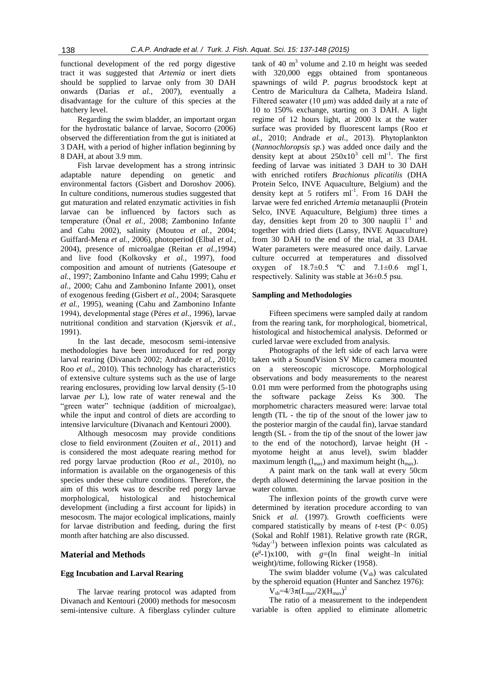functional development of the red porgy digestive tract it was suggested that *Artemia* or inert diets should be supplied to larvae only from 30 DAH onwards (Darias *et al.,* 2007), eventually a disadvantage for the culture of this species at the hatchery level.

Regarding the swim bladder, an important organ for the hydrostatic balance of larvae, Socorro (2006) observed the differentiation from the gut is initiated at 3 DAH, with a period of higher inflation beginning by 8 DAH, at about 3.9 mm.

Fish larvae development has a strong intrinsic adaptable nature depending on genetic and environmental factors (Gisbert and Doroshov 2006). In culture conditions, numerous studies suggested that gut maturation and related enzymatic activities in fish larvae can be influenced by factors such as temperature (Önal *et al.,* 2008; Zambonino Infante and Cahu 2002), salinity (Moutou *et al.,* 2004; Guiffard-Mena *et al.,* 2006), photoperiod (Elbal *et al.,* 2004), presence of microalgae (Reitan *et al.,*1994) and live food (Kolkovsky *et al.,* 1997), food composition and amount of nutrients (Gatesoupe *et al.,* 1997; Zambonino Infante and Cahu 1999; Cahu *et al.,* 2000; Cahu and Zambonino Infante 2001), onset of exogenous feeding (Gisbert *et al.,* 2004; Sarasquete *et al.,* 1995), weaning (Cahu and Zambonino Infante 1994), developmental stage (Péres *et al.,* 1996), larvae nutritional condition and starvation (Kjørsvik *et al.,* 1991).

In the last decade, mesocosm semi-intensive methodologies have been introduced for red porgy larval rearing (Divanach 2002; Andrade *et al.,* 2010; Roo *et al.,* 2010). This technology has characteristics of extensive culture systems such as the use of large rearing enclosures, providing low larval density (5-10 larvae *per* L), low rate of water renewal and the "green water" technique (addition of microalgae), while the input and control of diets are according to intensive larviculture (Divanach and Kentouri 2000).

Although mesocosm may provide conditions close to field environment (Zouiten *et al.,* 2011) and is considered the most adequate rearing method for red porgy larvae production (Roo *et al.,* 2010), no information is available on the organogenesis of this species under these culture conditions. Therefore, the aim of this work was to describe red porgy larvae morphological, histological and histochemical development (including a first account for lipids) in mesocosm. The major ecological implications, mainly for larvae distribution and feeding, during the first month after hatching are also discussed.

#### **Material and Methods**

## **Egg Incubation and Larval Rearing**

The larvae rearing protocol was adapted from Divanach and Kentouri (2000) methods for mesocosm semi-intensive culture. A fiberglass cylinder culture

tank of 40  $m<sup>3</sup>$  volume and 2.10 m height was seeded with 320,000 eggs obtained from spontaneous spawnings of wild *P. pagrus* broodstock kept at Centro de Maricultura da Calheta, Madeira Island. Filtered seawater (10  $\mu$ m) was added daily at a rate of 10 to 150% exchange, starting on 3 DAH. A light regime of 12 hours light, at 2000 lx at the water surface was provided by fluorescent lamps (Roo *et al.,* 2010; Andrade *et al.,* 2013). Phytoplankton (*Nannochloropsis sp.*) was added once daily and the density kept at about  $250x10^3$  cell ml<sup>-1</sup>. The first feeding of larvae was initiated 3 DAH to 30 DAH with enriched rotifers *Brachionus plicatilis* (DHA Protein Selco, INVE Aquaculture, Belgium) and the density kept at 5 rotifers ml<sup>-1</sup>. From 16 DAH the larvae were fed enriched *Artemia* metanauplii (Protein Selco, INVE Aquaculture, Belgium) three times a day, densities kept from 20 to 300 nauplii  $1^{-1}$  and together with dried diets (Lansy, INVE Aquaculture) from 30 DAH to the end of the trial, at 33 DAH. Water parameters were measured once daily. Larvae culture occurred at temperatures and dissolved oxygen of  $18.7 \pm 0.5$  °C and  $7.1 \pm 0.6$  mgl<sup>-1</sup>, respectively. Salinity was stable at 36±0.5 psu.

#### **Sampling and Methodologies**

Fifteen specimens were sampled daily at random from the rearing tank, for morphological, biometrical, histological and histochemical analysis. Deformed or curled larvae were excluded from analysis.

Photographs of the left side of each larva were taken with a SoundVision SV Micro camera mounted on a stereoscopic microscope. Morphological observations and body measurements to the nearest 0.01 mm were performed from the photographs using the software package Zeiss Ks 300. The morphometric characters measured were: larvae total length (TL - the tip of the snout of the lower jaw to the posterior margin of the caudal fin), larvae standard length (SL - from the tip of the snout of the lower jaw to the end of the notochord), larvae height (H myotome height at anus level), swim bladder maximum length  $(l_{max})$  and maximum height  $(h_{max})$ .

A paint mark on the tank wall at every 50cm depth allowed determining the larvae position in the water column.

The inflexion points of the growth curve were determined by iteration procedure according to van Snick *et al.* (1997). Growth coefficients were compared statistically by means of *t-*test (P< 0.05) (Sokal and Rohlf 1981). Relative growth rate (RGR, %day-1 ) between inflexion points was calculated as  $(e^{g} - 1)x100$ , with  $g=(\ln \int \frac{\pi}{4}$  weight–ln initial weight)/time, following Ricker (1958).

The swim bladder volume  $(V_{sb})$  was calculated by the spheroid equation (Hunter and Sanchez 1976):

 $V_{sb} = 4/3\pi (L_{max}/2)(H_{max})^2$ 

The ratio of a measurement to the independent variable is often applied to eliminate allometric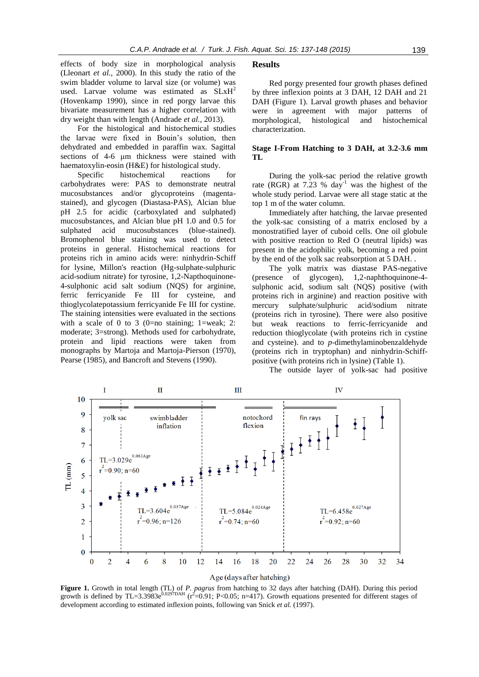effects of body size in morphological analysis (Lleonart *et al.,* 2000). In this study the ratio of the swim bladder volume to larval size (or volume) was used. Larvae volume was estimated as  $SLxH<sup>2</sup>$ (Hovenkamp 1990), since in red porgy larvae this bivariate measurement has a higher correlation with dry weight than with length (Andrade *et al.,* 2013).

For the histological and histochemical studies the larvae were fixed in Bouin's solution, then dehydrated and embedded in paraffin wax. Sagittal sections of 4-6 μm thickness were stained with haematoxylin-eosin (H&E) for histological study.

Specific histochemical reactions for carbohydrates were: PAS to demonstrate neutral mucosubstances and/or glycoproteins (magentastained), and glycogen (Diastasa-PAS), Alcian blue pH 2.5 for acidic (carboxylated and sulphated) mucosubstances, and Alcian blue pH 1.0 and 0.5 for sulphated acid mucosubstances (blue-stained). Bromophenol blue staining was used to detect proteins in general. Histochemical reactions for proteins rich in amino acids were: ninhydrin-Schiff for lysine, Millon's reaction (Hg-sulphate-sulphuric acid-sodium nitrate) for tyrosine, 1,2-Napthoquinone-4-sulphonic acid salt sodium (NQS) for arginine, ferric ferricyanide Fe III for cysteine, and thioglycolatepotassium ferricyanide Fe III for cystine. The staining intensities were evaluated in the sections with a scale of 0 to 3 (0=no staining: 1=weak; 2: moderate; 3=strong). Methods used for carbohydrate, protein and lipid reactions were taken from monographs by Martoja and Martoja-Pierson (1970), Pearse (1985), and Bancroft and Stevens (1990).

#### **Results**

Red porgy presented four growth phases defined by three inflexion points at 3 DAH, 12 DAH and 21 DAH (Figure 1). Larval growth phases and behavior were in agreement with major patterns of morphological, histological and histochemical characterization.

# **Stage I-From Hatching to 3 DAH, at 3.2-3.6 mm TL**

During the yolk-sac period the relative growth rate (RGR) at 7.23 % day<sup>-1</sup> was the highest of the whole study period. Larvae were all stage static at the top 1 m of the water column.

Immediately after hatching, the larvae presented the yolk-sac consisting of a matrix enclosed by a monostratified layer of cuboid cells. One oil globule with positive reaction to Red O (neutral lipids) was present in the acidophilic yolk, becoming a red point by the end of the yolk sac reabsorption at 5 DAH. .

The yolk matrix was diastase PAS-negative (presence of glycogen), 1,2-naphthoquinone-4 sulphonic acid, sodium salt (NQS) positive (with proteins rich in arginine) and reaction positive with mercury sulphate/sulphuric acid/sodium nitrate (proteins rich in tyrosine). There were also positive but weak reactions to ferric-ferricyanide and reduction thioglycolate (with proteins rich in cystine and cysteine). and to *p*-dimethylaminobenzaldehyde (proteins rich in tryptophan) and ninhydrin-Schiffpositive (with proteins rich in lysine) (Table 1).

The outside layer of yolk-sac had positive



#### Age (days after hatching)

**Figure 1.** Growth in total length (TL) of *P. pagrus* from hatching to 32 days after hatching (DAH). During this period growth is defined by TL=3.3983e<sup>0.0297DAH</sup> ( $r^2$ =0.91; P<0.05; n=417). Growth equations presented for different stages of development according to estimated inflexion points, following van Snick *et al.* (1997).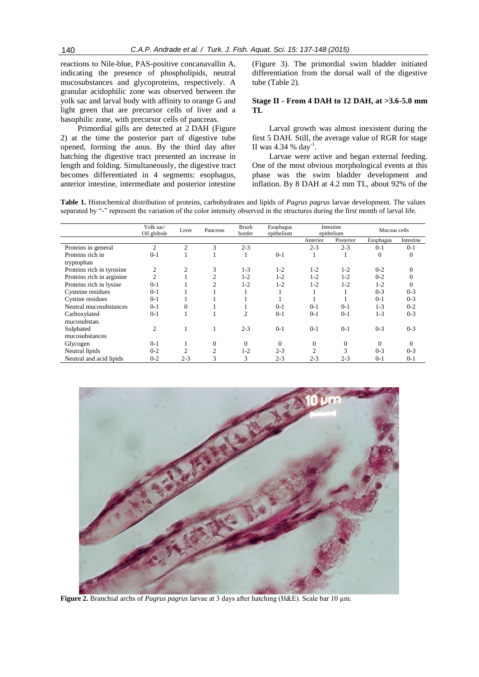reactions to Nile-blue, PAS-positive concanavallin A, indicating the presence of phospholipids, neutral mucosubstances and glycoproteins, respectively. A granular acidophilic zone was observed between the yolk sac and larval body with affinity to orange G and light green that are precursor cells of liver and a basophilic zone, with precursor cells of pancreas.

Primordial gills are detected at 2 DAH (Figure 2) at the time the posterior part of digestive tube opened, forming the anus. By the third day after hatching the digestive tract presented an increase in length and folding. Simultaneously, the digestive tract becomes differentiated in 4 segments: esophagus, anterior intestine, intermediate and posterior intestine

(Figure 3). The primordial swim bladder initiated differentiation from the dorsal wall of the digestive tube (Table 2).

## **Stage II - From 4 DAH to 12 DAH, at >3.6-5.0 mm TL**

Larval growth was almost inexistent during the first 5 DAH. Still, the average value of RGR for stage II was 4.34 % day<sup>-1</sup>.

Larvae were active and began external feeding. One of the most obvious morphological events at this phase was the swim bladder development and inflation. By 8 DAH at 4.2 mm TL, about 92% of the

**Table 1.** Histochemical distribution of proteins, carbohydrates and lipids of *Pagrus pagrus* larvae development. The values separated by "-" represent the variation of the color intensity observed in the structures during the first month of larval life.

|                           | Yolk sac/<br>Oil globule | Liver          | Pancreas       | <b>Brush</b><br>border | Esophagus<br>epithelium | Intestine<br>epithelium |              | Mucous cells |           |
|---------------------------|--------------------------|----------------|----------------|------------------------|-------------------------|-------------------------|--------------|--------------|-----------|
|                           |                          |                |                |                        |                         | Anterior                | Posterior    | Esophagus    | Intestine |
| Proteins in general       | $\overline{2}$           | $\overline{c}$ | 3              | $2 - 3$                |                         | $2 - 3$                 | $2 - 3$      | $0 - 1$      | $0 - 1$   |
| Proteins rich in          | $0 - 1$                  |                |                |                        | $0 - 1$                 |                         | 1            | $\theta$     | $\theta$  |
| tryptophan                |                          |                |                |                        |                         |                         |              |              |           |
| Proteins rich in tyrosine | $\overline{2}$           | 2              | 3              | $1 - 3$                | $1 - 2$                 | $1 - 2$                 | $1-2$        | $0 - 2$      | $\Omega$  |
| Proteins rich in arginine | $\overline{c}$           |                | $\overline{c}$ | $1 - 2$                | $1 - 2$                 | $1 - 2$                 | $1 - 2$      | $0 - 2$      |           |
| Proteins rich in lysine   | $0-1$                    |                | $\overline{c}$ | $1 - 2$                | $1 - 2$                 | $1 - 2$                 | $1 - 2$      | $1 - 2$      | $\Omega$  |
| Cysteine residues         | $0-1$                    |                |                |                        |                         |                         |              | $0 - 3$      | $0 - 3$   |
| Cystine residues          | $0-1$                    |                |                |                        |                         |                         |              | $0 - 1$      | $0 - 3$   |
| Neutral mucosubstances    | $0-1$                    | 0              |                |                        | $0-1$                   | $0-1$                   | $0-1$        | $1 - 3$      | $0 - 2$   |
| Carboxylated              | $0 - 1$                  |                |                | $\mathfrak{D}$         | $0-1$                   | $0 - 1$                 | $0 - 1$      | $1 - 3$      | $0 - 3$   |
| mucosubstan.              |                          |                |                |                        |                         |                         |              |              |           |
| Sulphated                 | 2                        |                |                | $2 - 3$                | $0-1$                   | $0-1$                   | $0-1$        | $0 - 3$      | $0 - 3$   |
| mucosubstances            |                          |                |                |                        |                         |                         |              |              |           |
| Glycogen                  | $0-1$                    |                | $\mathbf{0}$   | $\Omega$               | $\Omega$                | 0                       | $\mathbf{0}$ | $\Omega$     | $\Omega$  |
| Neutral lipids            | $0 - 2$                  |                | $\overline{2}$ | $1 - 2$                | $2 - 3$                 | 2                       | 3            | $0 - 3$      | $0 - 3$   |
| Neutral and acid lipids   | $0 - 2$                  | $2 - 3$        | 3              | 3                      | $2 - 3$                 | $2 - 3$                 | $2 - 3$      | $0 - 1$      | $0 - 1$   |



**Figure 2.** Branchial archs of *Pagrus pagrus* larvae at 3 days after hatching (H&E). Scale bar 10 µm.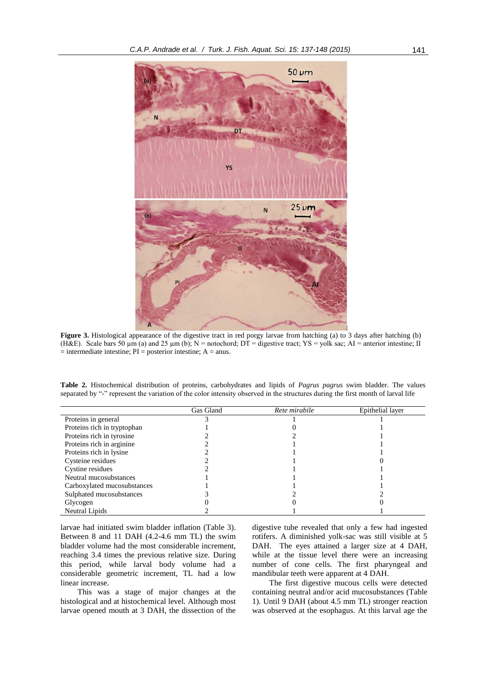

**Figure 3.** Histological appearance of the digestive tract in red porgy larvae from hatching (a) to 3 days after hatching (b) (H&E). Scale bars 50  $\mu$ m (a) and 25  $\mu$ m (b); N = notochord; DT = digestive tract; YS = yolk sac; AI = anterior intestine; II  $=$  intermediate intestine; PI = posterior intestine; A = anus.

**Table 2.** Histochemical distribution of proteins, carbohydrates and lipids of *Pagrus pagrus* swim bladder. The values separated by "-" represent the variation of the color intensity observed in the structures during the first month of larval life

|                             | Gas Gland | Rete mirabile | Epithelial layer |
|-----------------------------|-----------|---------------|------------------|
| Proteins in general         |           |               |                  |
| Proteins rich in tryptophan |           |               |                  |
| Proteins rich in tyrosine   |           |               |                  |
| Proteins rich in arginine.  |           |               |                  |
| Proteins rich in lysine     |           |               |                  |
| Cysteine residues           |           |               |                  |
| Cystine residues            |           |               |                  |
| Neutral mucosubstances      |           |               |                  |
| Carboxylated mucosubstances |           |               |                  |
| Sulphated mucosubstances    |           |               |                  |
| Glycogen                    |           |               |                  |
| Neutral Lipids              |           |               |                  |

larvae had initiated swim bladder inflation (Table 3). Between 8 and 11 DAH (4.2-4.6 mm TL) the swim bladder volume had the most considerable increment, reaching 3.4 times the previous relative size. During this period, while larval body volume had a considerable geometric increment, TL had a low linear increase.

This was a stage of major changes at the histological and at histochemical level. Although most larvae opened mouth at 3 DAH, the dissection of the

digestive tube revealed that only a few had ingested rotifers. A diminished yolk-sac was still visible at 5 DAH. The eyes attained a larger size at 4 DAH, while at the tissue level there were an increasing number of cone cells. The first pharyngeal and mandibular teeth were apparent at 4 DAH.

The first digestive mucous cells were detected containing neutral and/or acid mucosubstances (Table 1). Until 9 DAH (about 4.5 mm TL) stronger reaction was observed at the esophagus. At this larval age the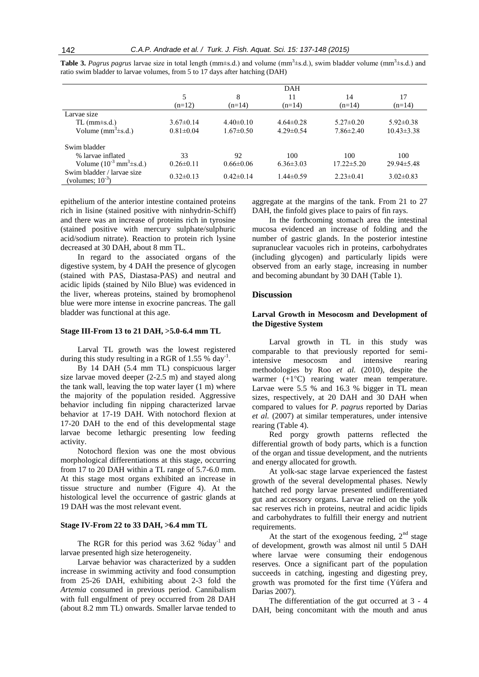|                                                     |                 |                 | DAH             |                  |                  |
|-----------------------------------------------------|-----------------|-----------------|-----------------|------------------|------------------|
|                                                     | 5               | 8               | 11              | 14               | 17               |
|                                                     | $(n=12)$        | $(n=14)$        | $(n=14)$        | $(n=14)$         | $(n=14)$         |
| Larvae size                                         |                 |                 |                 |                  |                  |
| $TL$ (mm $\pm$ s.d.)                                | $3.67\pm0.14$   | $4.40\pm0.10$   | $4.64\pm0.28$   | $5.27 \pm 0.20$  | $5.92 \pm 0.38$  |
| Volume $(mm^3\pm s.d.)$                             | $0.81 \pm 0.04$ | $1.67 \pm 0.50$ | $4.29 \pm 0.54$ | $7.86 \pm 2.40$  | $10.43 \pm 3.38$ |
| Swim bladder                                        |                 |                 |                 |                  |                  |
| % larvae inflated                                   | 33              | 92              | 100             | 100              | 100              |
| Volume $(10^{-3} \text{ mm}^3 \pm \text{s.d.})$     | $0.26 \pm 0.11$ | $0.66 \pm 0.06$ | $6.36 \pm 3.03$ | $17.22 \pm 5.20$ | $29.94 \pm 5.48$ |
| Swim bladder / larvae size<br>(volumes; $10^{-3}$ ) | $0.32 \pm 0.13$ | $0.42 \pm 0.14$ | $1.44 \pm 0.59$ | $2.23 \pm 0.41$  | $3.02 \pm 0.83$  |

**Table 3.** *Pagrus pagrus* larvae size in total length ( $mm\pm s.d.$ ) and volume ( $mm\overline{3}\pm s.d.$ ), swim bladder volume ( $mm\overline{3}\pm s.d.$ ) and ratio swim bladder to larvae volumes, from 5 to 17 days after hatching (DAH)

epithelium of the anterior intestine contained proteins rich in lisine (stained positive with ninhydrin-Schiff) and there was an increase of proteins rich in tyrosine (stained positive with mercury sulphate/sulphuric acid/sodium nitrate). Reaction to protein rich lysine decreased at 30 DAH, about 8 mm TL.

In regard to the associated organs of the digestive system, by 4 DAH the presence of glycogen (stained with PAS, Diastasa-PAS) and neutral and acidic lipids (stained by Nilo Blue) was evidenced in the liver, whereas proteins, stained by bromophenol blue were more intense in exocrine pancreas. The gall bladder was functional at this age.

#### **Stage III-From 13 to 21 DAH, >5.0-6.4 mm TL**

Larval TL growth was the lowest registered during this study resulting in a RGR of  $1.55\%$  day<sup>-1</sup>.

By 14 DAH (5.4 mm TL) conspicuous larger size larvae moved deeper (2-2.5 m) and stayed along the tank wall, leaving the top water layer (1 m) where the majority of the population resided. Aggressive behavior including fin nipping characterized larvae behavior at 17-19 DAH. With notochord flexion at 17-20 DAH to the end of this developmental stage larvae become lethargic presenting low feeding activity.

Notochord flexion was one the most obvious morphological differentiations at this stage, occurring from 17 to 20 DAH within a TL range of 5.7-6.0 mm. At this stage most organs exhibited an increase in tissue structure and number (Figure 4). At the histological level the occurrence of gastric glands at 19 DAH was the most relevant event.

#### **Stage IV-From 22 to 33 DAH, >6.4 mm TL**

The RGR for this period was  $3.62 \text{ %day}^{-1}$  and larvae presented high size heterogeneity.

Larvae behavior was characterized by a sudden increase in swimming activity and food consumption from 25-26 DAH, exhibiting about 2-3 fold the *Artemia* consumed in previous period. Cannibalism with full engulfment of prey occurred from 28 DAH (about 8.2 mm TL) onwards. Smaller larvae tended to

aggregate at the margins of the tank. From 21 to 27 DAH, the finfold gives place to pairs of fin rays.

In the forthcoming stomach area the intestinal mucosa evidenced an increase of folding and the number of gastric glands. In the posterior intestine supranuclear vacuoles rich in proteins, carbohydrates (including glycogen) and particularly lipids were observed from an early stage, increasing in number and becoming abundant by 30 DAH (Table 1).

#### **Discussion**

# **Larval Growth in Mesocosm and Development of the Digestive System**

Larval growth in TL in this study was comparable to that previously reported for semiintensive mesocosm and intensive rearing methodologies by Roo *et al.* (2010), despite the warmer (+1<sup>o</sup>C) rearing water mean temperature. Larvae were 5.5 % and 16.3 % bigger in TL mean sizes, respectively, at 20 DAH and 30 DAH when compared to values for *P. pagrus* reported by Darias *et al.* (2007) at similar temperatures, under intensive rearing (Table 4).

Red porgy growth patterns reflected the differential growth of body parts, which is a function of the organ and tissue development, and the nutrients and energy allocated for growth.

At yolk-sac stage larvae experienced the fastest growth of the several developmental phases. Newly hatched red porgy larvae presented undifferentiated gut and accessory organs. Larvae relied on the yolk sac reserves rich in proteins, neutral and acidic lipids and carbohydrates to fulfill their energy and nutrient requirements.

At the start of the exogenous feeding,  $2<sup>nd</sup>$  stage of development, growth was almost nil until 5 DAH where larvae were consuming their endogenous reserves. Once a significant part of the population succeeds in catching, ingesting and digesting prey, growth was promoted for the first time (Yúfera and Darias 2007).

The differentiation of the gut occurred at 3 - 4 DAH, being concomitant with the mouth and anus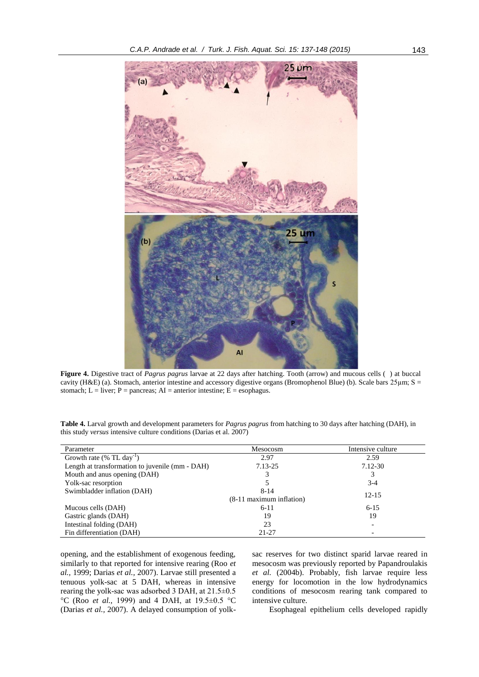

**Figure 4.** Digestive tract of *Pagrus pagrus* larvae at 22 days after hatching. Tooth (arrow) and mucous cells ( ) at buccal cavity (H&E) (a). Stomach, anterior intestine and accessory digestive organs (Bromophenol Blue) (b). Scale bars 25µm; S = stomach; L = liver; P = pancreas; AI = anterior intestine; E = esophagus.

| Table 4. Larval growth and development parameters for <i>Pagrus pagrus</i> from hatching to 30 days after hatching (DAH), in |  |
|------------------------------------------------------------------------------------------------------------------------------|--|
| this study <i>versus</i> intensive culture conditions (Darias et al. 2007)                                                   |  |

| Parameter                                       | Mesocosm                    | Intensive culture |
|-------------------------------------------------|-----------------------------|-------------------|
| Growth rate $(\%$ TL day <sup>-1</sup> )        | 2.97                        | 2.59              |
| Length at transformation to juvenile (mm - DAH) | 7.13-25                     | 7.12-30           |
| Mouth and anus opening (DAH)                    | 3                           | 3                 |
| Yolk-sac resorption                             |                             | $3-4$             |
| Swimbladder inflation (DAH)                     | $8 - 14$                    | $12 - 15$         |
|                                                 | $(8-11)$ maximum inflation) |                   |
| Mucous cells (DAH)                              | $6 - 11$                    | $6 - 15$          |
| Gastric glands (DAH)                            | 19                          | 19                |
| Intestinal folding (DAH)                        | 23                          |                   |
| Fin differentiation (DAH)                       | $21 - 27$                   |                   |

opening, and the establishment of exogenous feeding, similarly to that reported for intensive rearing (Roo *et al.,* 1999; Darias *et al.,* 2007). Larvae still presented a tenuous yolk-sac at 5 DAH, whereas in intensive rearing the yolk-sac was adsorbed 3 DAH, at 21.5±0.5 °C (Roo *et al.,* 1999) and 4 DAH, at 19.5±0.5 °C (Darias *et al.,* 2007). A delayed consumption of yolksac reserves for two distinct sparid larvae reared in mesocosm was previously reported by Papandroulakis *et al.* (2004b). Probably, fish larvae require less energy for locomotion in the low hydrodynamics conditions of mesocosm rearing tank compared to intensive culture.

Esophageal epithelium cells developed rapidly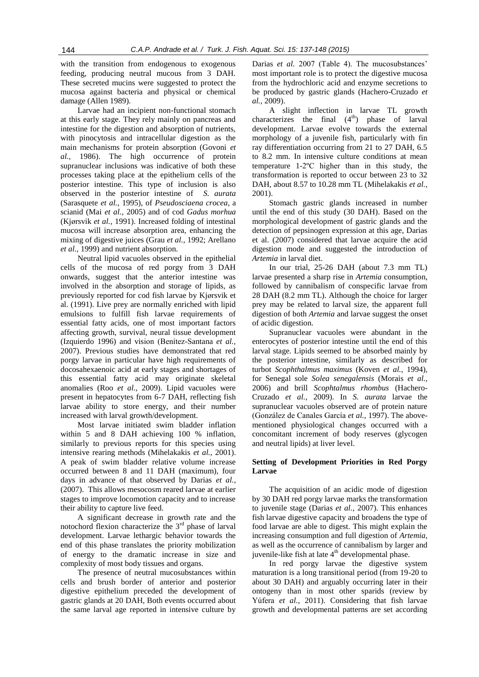with the transition from endogenous to exogenous feeding, producing neutral mucous from 3 DAH. These secreted mucins were suggested to protect the mucosa against bacteria and physical or chemical damage (Allen 1989).

Larvae had an incipient non-functional stomach at this early stage. They rely mainly on pancreas and intestine for the digestion and absorption of nutrients, with pinocytosis and intracellular digestion as the main mechanisms for protein absorption (Govoni *et al.,* 1986). The high occurrence of protein supranuclear inclusions was indicative of both these processes taking place at the epithelium cells of the posterior intestine. This type of inclusion is also observed in the posterior intestine of *S. aurata* (Sarasquete *et al.,* 1995), of *Pseudosciaena crocea*, a scianid (Mai *et al.,* 2005) and of cod *Gadus morhua* (Kjørsvik *et al.,* 1991). Increased folding of intestinal mucosa will increase absorption area, enhancing the mixing of digestive juices (Grau *et al.,* 1992; Arellano *et al.,* 1999) and nutrient absorption.

Neutral lipid vacuoles observed in the epithelial cells of the mucosa of red porgy from 3 DAH onwards, suggest that the anterior intestine was involved in the absorption and storage of lipids, as previously reported for cod fish larvae by Kjørsvik et al. (1991). Live prey are normally enriched with lipid emulsions to fulfill fish larvae requirements of essential fatty acids, one of most important factors affecting growth, survival, neural tissue development (Izquierdo 1996) and vision (Benítez-Santana *et al.,* 2007). Previous studies have demonstrated that red porgy larvae in particular have high requirements of docosahexaenoic acid at early stages and shortages of this essential fatty acid may originate skeletal anomalies (Roo *et al.,* 2009). Lipid vacuoles were present in hepatocytes from 6-7 DAH, reflecting fish larvae ability to store energy, and their number increased with larval growth/development.

Most larvae initiated swim bladder inflation within 5 and 8 DAH achieving 100 % inflation, similarly to previous reports for this species using intensive rearing methods (Mihelakakis *et al.,* 2001). A peak of swim bladder relative volume increase occurred between 8 and 11 DAH (maximum), four days in advance of that observed by Darias *et al.,* (2007). This allows mesocosm reared larvae at earlier stages to improve locomotion capacity and to increase their ability to capture live feed.

A significant decrease in growth rate and the notochord flexion characterize the  $3<sup>rd</sup>$  phase of larval development. Larvae lethargic behavior towards the end of this phase translates the priority mobilization of energy to the dramatic increase in size and complexity of most body tissues and organs.

The presence of neutral mucosubstances within cells and brush border of anterior and posterior digestive epithelium preceded the development of gastric glands at 20 DAH, Both events occurred about the same larval age reported in intensive culture by Darias *et al.* 2007 (Table 4). The mucosubstances' most important role is to protect the digestive mucosa from the hydrochloric acid and enzyme secretions to be produced by gastric glands (Hachero-Cruzado *et al.,* 2009).

A slight inflection in larvae TL growth characterizes the final  $(4<sup>th</sup>)$  phase of larval development. Larvae evolve towards the external morphology of a juvenile fish, particularly with fin ray differentiation occurring from 21 to 27 DAH, 6.5 to 8.2 mm. In intensive culture conditions at mean temperature 1-2ºC higher than in this study, the transformation is reported to occur between 23 to 32 DAH, about 8.57 to 10.28 mm TL (Mihelakakis *et al.,* 2001).

Stomach gastric glands increased in number until the end of this study (30 DAH). Based on the morphological development of gastric glands and the detection of pepsinogen expression at this age, Darias et al. (2007) considered that larvae acquire the acid digestion mode and suggested the introduction of *Artemia* in larval diet.

In our trial, 25-26 DAH (about 7.3 mm TL) larvae presented a sharp rise in *Artemia* consumption, followed by cannibalism of conspecific larvae from 28 DAH (8.2 mm TL). Although the choice for larger prey may be related to larval size, the apparent full digestion of both *Artemia* and larvae suggest the onset of acidic digestion.

Supranuclear vacuoles were abundant in the enterocytes of posterior intestine until the end of this larval stage. Lipids seemed to be absorbed mainly by the posterior intestine, similarly as described for turbot *Scophthalmus maximus* (Koven *et al.,* 1994), for Senegal sole *Solea senegalensis* (Morais *et al.,* 2006) and brill *Scophtalmus rhombus* (Hachero-Cruzado *et al.,* 2009). In *S. aurata* larvae the supranuclear vacuoles observed are of protein nature (González de Canales García *et al.,* 1997). The abovementioned physiological changes occurred with a concomitant increment of body reserves (glycogen and neutral lipids) at liver level.

# **Setting of Development Priorities in Red Porgy Larvae**

The acquisition of an acidic mode of digestion by 30 DAH red porgy larvae marks the transformation to juvenile stage (Darias *et al.,* 2007). This enhances fish larvae digestive capacity and broadens the type of food larvae are able to digest. This might explain the increasing consumption and full digestion of *Artemia*, as well as the occurrence of cannibalism by larger and juvenile-like fish at late 4<sup>th</sup> developmental phase.

In red porgy larvae the digestive system maturation is a long transitional period (from 19-20 to about 30 DAH) and arguably occurring later in their ontogeny than in most other sparids (review by Yúfera *et al.,* 2011). Considering that fish larvae growth and developmental patterns are set according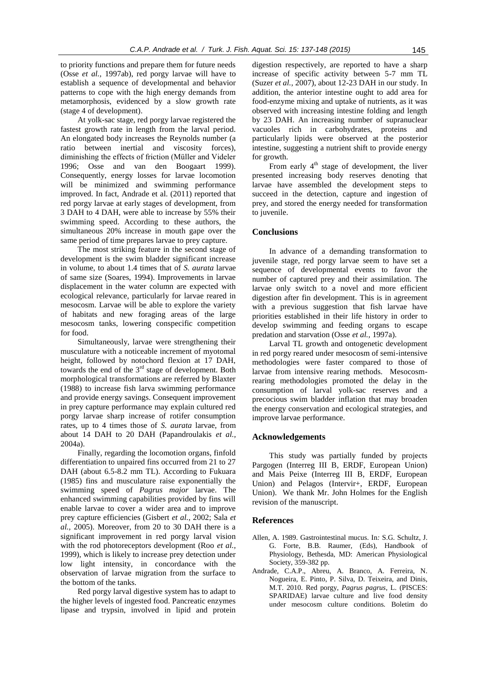to priority functions and prepare them for future needs (Osse *et al.,* 1997ab), red porgy larvae will have to establish a sequence of developmental and behavior patterns to cope with the high energy demands from metamorphosis, evidenced by a slow growth rate (stage 4 of development).

At yolk-sac stage, red porgy larvae registered the fastest growth rate in length from the larval period. An elongated body increases the Reynolds number (a ratio between inertial and viscosity forces), diminishing the effects of friction (Müller and Videler 1996; Osse and van den Boogaart 1999). Consequently, energy losses for larvae locomotion will be minimized and swimming performance improved. In fact, Andrade et al. (2011) reported that red porgy larvae at early stages of development, from 3 DAH to 4 DAH, were able to increase by 55% their swimming speed. According to these authors, the simultaneous 20% increase in mouth gape over the same period of time prepares larvae to prey capture.

The most striking feature in the second stage of development is the swim bladder significant increase in volume, to about 1.4 times that of *S. aurata* larvae of same size (Soares, 1994). Improvements in larvae displacement in the water column are expected with ecological relevance, particularly for larvae reared in mesocosm. Larvae will be able to explore the variety of habitats and new foraging areas of the large mesocosm tanks, lowering conspecific competition for food.

Simultaneously, larvae were strengthening their musculature with a noticeable increment of myotomal height, followed by notochord flexion at 17 DAH, towards the end of the 3<sup>rd</sup> stage of development. Both morphological transformations are referred by Blaxter (1988) to increase fish larva swimming performance and provide energy savings. Consequent improvement in prey capture performance may explain cultured red porgy larvae sharp increase of rotifer consumption rates, up to 4 times those of *S. aurata* larvae, from about 14 DAH to 20 DAH (Papandroulakis *et al.,* 2004a).

Finally, regarding the locomotion organs, finfold differentiation to unpaired fins occurred from 21 to 27 DAH (about 6.5-8.2 mm TL). According to Fukuara (1985) fins and musculature raise exponentially the swimming speed of *Pagrus major* larvae. The enhanced swimming capabilities provided by fins will enable larvae to cover a wider area and to improve prey capture efficiencies (Gisbert *et al.,* 2002; Sala *et al.,* 2005). Moreover, from 20 to 30 DAH there is a significant improvement in red porgy larval vision with the rod photoreceptors development (Roo *et al.,* 1999), which is likely to increase prey detection under low light intensity, in concordance with the observation of larvae migration from the surface to the bottom of the tanks.

Red porgy larval digestive system has to adapt to the higher levels of ingested food. Pancreatic enzymes lipase and trypsin, involved in lipid and protein digestion respectively, are reported to have a sharp increase of specific activity between 5-7 mm TL (Suzer *et al.,* 2007), about 12-23 DAH in our study. In addition, the anterior intestine ought to add area for food-enzyme mixing and uptake of nutrients, as it was observed with increasing intestine folding and length by 23 DAH. An increasing number of supranuclear vacuoles rich in carbohydrates, proteins and particularly lipids were observed at the posterior intestine, suggesting a nutrient shift to provide energy for growth.

From early  $4<sup>th</sup>$  stage of development, the liver presented increasing body reserves denoting that larvae have assembled the development steps to succeed in the detection, capture and ingestion of prey, and stored the energy needed for transformation to juvenile.

# **Conclusions**

In advance of a demanding transformation to juvenile stage, red porgy larvae seem to have set a sequence of developmental events to favor the number of captured prey and their assimilation. The larvae only switch to a novel and more efficient digestion after fin development. This is in agreement with a previous suggestion that fish larvae have priorities established in their life history in order to develop swimming and feeding organs to escape predation and starvation (Osse *et al.,* 1997a).

Larval TL growth and ontogenetic development in red porgy reared under mesocosm of semi-intensive methodologies were faster compared to those of larvae from intensive rearing methods. Mesocosmrearing methodologies promoted the delay in the consumption of larval yolk-sac reserves and a precocious swim bladder inflation that may broaden the energy conservation and ecological strategies, and improve larvae performance.

# **Acknowledgements**

This study was partially funded by projects Pargogen (Interreg III B, ERDF, European Union) and Mais Peixe (Interreg III B, ERDF, European Union) and Pelagos (Intervir+, ERDF, European Union). We thank Mr. John Holmes for the English revision of the manuscript.

# **References**

- Allen, A. 1989. Gastrointestinal mucus. In*:* S.G. Schultz, J. G. Forte, B.B. Raumer, (Eds), Handbook of Physiology, Bethesda, MD: American Physiological Society, 359-382 pp.
- Andrade, C.A.P., Abreu, A. Branco, A. Ferreira, N. Nogueira, E. Pinto, P. Silva, D. Teixeira, and Dinis, M.T. 2010. Red porgy, *Pagrus pagrus*, L. (PISCES: SPARIDAE) larvae culture and live food density under mesocosm culture conditions*.* Boletim do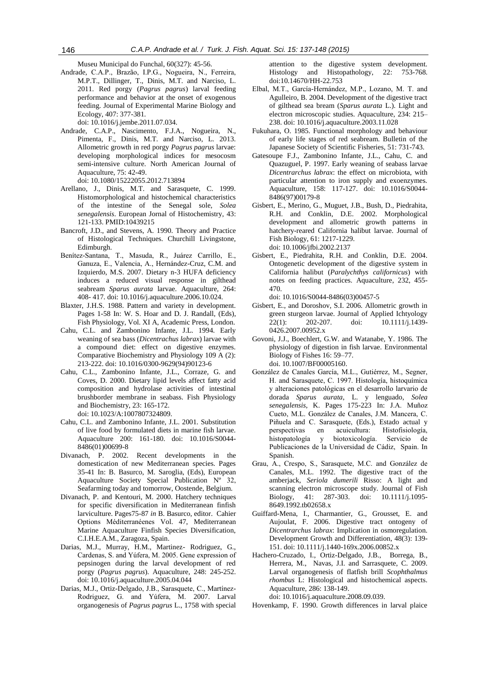Museu Municipal do Funchal, 60(327): 45-56.

Andrade, C.A.P., Brazão, I.P.G., Nogueira, N., Ferreira, M.P.T., Dillinger, T., Dinis, M.T. and Narciso, L. 2011. Red porgy (*Pagrus pagrus*) larval feeding performance and behavior at the onset of exogenous feeding. Journal of Experimental Marine Biology and Ecology, 407: 377-381.

doi: 10.1016/j.jembe.2011.07.034.

- Andrade, C.A.P., Nascimento, F.J.A., Nogueira, N., Pimenta, F., Dinis, M.T. and Narciso, L. 2013. Allometric growth in red porgy *Pagrus pagrus* larvae: developing morphological indices for mesocosm semi-intensive culture. North American Journal of Aquaculture, 75: 42-49. doi: 10.1080/15222055.2012.713894
- Arellano, J., Dinis, M.T. and Sarasquete, C. 1999. Histomorphological and histochemical characteristics of the intestine of the Senegal sole, *Solea senegalensis*. European Jornal of Histochemistry, 43: 121-133. PMID:10439215
- Bancroft, J.D., and Stevens, A. 1990. Theory and Practice of Histological Techniques. Churchill Livingstone, Edimburgh.
- Benítez-Santana, T., Masuda, R., Juárez Carrillo, E., Ganuza, E., Valencia, A., Hernández-Cruz, C.M. and Izquierdo, M.S. 2007. Dietary n-3 HUFA deficiency induces a reduced visual response in gilthead seabream *Sparus aurata* larvae. Aquaculture, 264: 408- 417. doi: 10.1016/j.aquaculture.2006.10.024.
- Blaxter, J.H.S. 1988. Pattern and variety in development. Pages 1-58 In: W. S. Hoar and D. J. Randall, (Eds), Fish Physiology, Vol. XI A, Academic Press, London.
- Cahu, C.L. and Zambonino Infante, J.L. 1994. Early weaning of sea bass (*Dicentrachus labrax*) larvae with a compound diet: effect on digestive enzymes. Comparative Biochemistry and Physiology 109 A (2): 213-222. doi: 10.1016/0300-9629(94)90123-6
- Cahu, C.L., Zambonino Infante, J.L., Corraze, G. and Coves, D. 2000. Dietary lipid levels affect fatty acid composition and hydrolase activities of intestinal brushborder membrane in seabass. Fish Physiology and Biochemistry, 23: 165-172. doi: 10.1023/A:1007807324809.
- Cahu, C.L. and Zambonino Infante, J.L. 2001. Substitution of live food by formulated diets in marine fish larvae. Aquaculture 200: 161-180. doi: 10.1016/S0044- 8486(01)00699-8
- Divanach, P. 2002. Recent developments in the domestication of new Mediterranean species. Pages 35-41 In: B. Basurco, M. Saroglia, (Eds), European Aquaculture Society Special Publication  $N^{\circ}$  32, Seafarming today and tomorrow, Oostende, Belgium.
- Divanach, P. and Kentouri, M. 2000. Hatchery techniques for specific diversification in Mediterranean finfish larviculture. Pages75-87 *in* B. Basurco, editor. Cahier Options Méditerranéenes Vol. 47, Mediterranean Marine Aquaculture Finfish Species Diversification, C.I.H.E.A.M., Zaragoza, Spain.
- Darias, M.J., Murray, H.M., Martinez- Rodriguez, G., Cardenas, S. and Yúfera, M. 2005. Gene expression of pepsinogen during the larval development of red porgy (*Pagrus pagrus*). Aquaculture, 248: 245-252. doi: 10.1016/j.aquaculture.2005.04.044
- Darias, M.J., Ortiz-Delgado, J.B., Sarasquete, C., Martínez-Rodriguez, G. and Yúfera, M. 2007. Larval organogenesis of *Pagrus pagrus* L., 1758 with special

attention to the digestive system development. Histology and Histopathology, 22: 753-768. doi:10.14670/HH-22.753

- Elbal, M.T., García-Hernández, M.P., Lozano, M. T. and Agulleiro, B. 2004. Development of the digestive tract of gilthead sea bream (*Sparus aurata* L.). Light and electron microscopic studies. Aquaculture, 234: 215– 238. doi: 10.1016/j.aquaculture.2003.11.028
- Fukuhara, O. 1985. Functional morphology and behaviour of early life stages of red seabream. Bulletin of the Japanese Society of Scientific Fisheries, 51: 731-743.
- Gatesoupe F.J., Zambonino Infante, J.L., Cahu, C. and Quazuguel, P. 1997. Early weaning of seabass larvae *Dicentrarchus labrax*: the effect on microbiota, with particular attention to iron supply and exoenzymes. Aquaculture, 158: 117-127. doi: 10.1016/S0044- 8486(97)00179-8
- Gisbert, E., Merino, G., Muguet, J.B., Bush, D., Piedrahita, R.H. and Conklin, D.E. 2002. Morphological development and allometric growth patterns in hatchery-reared California halibut larvae. Journal of Fish Biology, 61: 1217-1229. doi: 10.1006/jfbi.2002.2137
- Gisbert, E., Piedrahita, R.H. and Conklin, D.E. 2004. Ontogenetic development of the digestive system in California halibut (*Paralychthys californicus*) with notes on feeding practices. Aquaculture, 232, 455- 470.

doi: 10.1016/S0044-8486(03)00457-5

- Gisbert, E., and Doroshov, S.I. 2006. Allometric growth in green sturgeon larvae. Journal of Applied Ichtyology 22(1): 202-207. doi: 10.1111/j.1439- 0426.2007.00952.x
- Govoni, J.J., Boechlert, G.W. and Watanabe, Y. 1986. The physiology of digestion in fish larvae. Environmental Biology of Fishes 16: 59–77. doi. 10.1007/BF00005160.
- González de Canales García, M.L., Gutiérrez, M., Segner, H. and Sarasquete, C. 1997. Histología, histoquímica y alteraciones patológicas en el desarrollo larvario de dorada *Sparus aurata*, L. y lenguado, *Solea senegalensis*, K. Pages 175-223 In: J.A. Muñoz Cueto, M.L. González de Canales, J.M. Mancera, C. Piñuela and C. Sarasquete, (Eds.), Estado actual y perspectivas en acuicultura: Histofisiología, histopatología y biotoxicología. Servicio de Publicaciones de la Universidad de Cádiz, Spain. In Spanish.
- Grau, A., Crespo, S., Sarasquete, M.C. and González de Canales, M.L. 1992. The digestive tract of the amberjack, *Seriola dumerili* Risso: A light and scanning electron microscope study. Journal of Fish Biology, 41: 287-303. doi: 10.1111/j.1095- 8649.1992.tb02658.x
- Guiffard-Mena, I., Charmantier, G., Grousset, E. and Aujoulat, F. 2006. Digestive tract ontogeny of *Dicentrarchus labrax*: Implication in osmoregulation. Development Growth and Differentiation, 48(3): 139- 151. doi: 10.1111/j.1440-169x.2006.00852.x
- Hachero-Cruzado, I., Ortiz-Delgado, J.B., Borrega, B., Herrera, M., Navas, J.I. and Sarrasquete, C. 2009. Larval organogenesis of flatfish brill *Scophthalmus rhombus* L: Histological and histochemical aspects. Aquaculture, 286: 138-149.

doi: 10.1016/j.aquaculture.2008.09.039.

Hovenkamp, F. 1990. Growth differences in larval plaice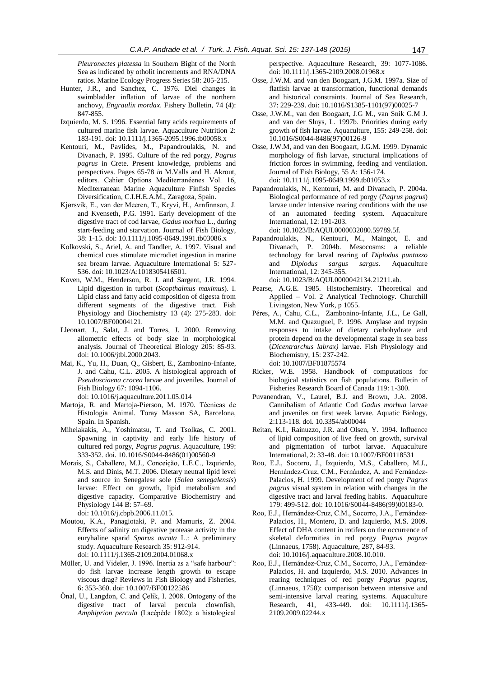*Pleuronectes platessa* in Southern Bight of the North Sea as indicated by otholit increments and RNA/DNA ratios. Marine Ecology Progress Series 58: 205-215.

- Hunter, J.R., and Sanchez, C. 1976. Diel changes in swimbladder inflation of larvae of the northern anchovy, *Engraulix mordax*. Fishery Bulletin, 74 (4): 847-855.
- Izquierdo, M. S. 1996. Essential fatty acids requirements of cultured marine fish larvae. Aquaculture Nutrition 2: 183-191. doi: 10.1111/j.1365-2095.1996.tb00058.x
- Kentouri, M., Pavlides, M., Papandroulakis, N. and Divanach, P. 1995. Culture of the red porgy, *Pagrus pagrus* in Crete. Present knowledge, problems and perspectives. Pages 65-78 *in* M.Valls and H. Akrout, editors. Cahier Options Mediterranéenes Vol. 16, Mediterranean Marine Aquaculture Finfish Species Diversification, C.I.H.E.A.M., Zaragoza, Spain.
- Kjørsvik, E., van der Meeren, T., Kryvi, H., Arnfinnson, J. and Kvenseth, P.G. 1991. Early development of the digestive tract of cod larvae, *Gadus morhua* L., during start-feeding and starvation. Journal of Fish Biology, 38: 1-15. doi: 10.1111/j.1095-8649.1991.tb03086.x
- Kolkovski, S., Ariel, A. and Tandler, A. 1997. Visual and chemical cues stimulate microdiet ingestion in marine sea bream larvae. Aquaculture International 5: 527- 536. doi: 10.1023/A:1018305416501.
- [Koven,](http://www.springerlink.com/content/?Author=W.+M.+Koven) W.M., [Henderson,](http://www.springerlink.com/content/?Author=R.+J.+Henderson) R. J. and [Sargent,](http://www.springerlink.com/content/?Author=J.+R.+Sargent) J.R. 1994. Lipid digestion in turbot (*Scopthalmus maximus*). I. Lipid class and fatty acid composition of digesta from different segments of the digestive tract. [Fish](http://www.springerlink.com/content/0920-1742/)  [Physiology and Biochemis](http://www.springerlink.com/content/0920-1742/)try [13 \(4\)](http://www.springerlink.com/content/0920-1742/13/4/): 275-283. doi: 10.1007/BF00004121.
- Lleonart, J., Salat, J. and Torres, J. 2000. Removing allometric effects of body size in morphological analysis. Journal of Theoretical Biology 205: 85-93. doi: 10.1006/jtbi.2000.2043.
- Mai, K., Yu, H., Duan, Q., Gisbert, E., Zambonino-Infante, J. and Cahu, C.L. 2005. A histological approach of *Pseudosciaena crocea* larvae and juveniles. Journal of Fish Biology 67: 1094-1106.

doi: 10.1016/j.aquaculture.2011.05.014

- Martoja, R. and Martoja-Pierson, M. 1970. Técnicas de Histologia Animal. Toray Masson SA, Barcelona, Spain. In Spanish.
- Mihelakakis, A., Yoshimatsu, T. and Tsolkas, C. 2001. Spawning in captivity and early life history of cultured red porgy, *Pagrus pagrus*. Aquaculture, 199: 333-352. doi. 10.1016/S0044-8486(01)00560-9
- Morais, S., Caballero, M.J., Conceição, L.E.C., Izquierdo, M.S. and Dinis, M.T. 2006. Dietary neutral lipid level and source in Senegalese sole (*Solea senegalensis*) larvae: Effect on growth, lipid metabolism and digestive capacity. Comparative Biochemistry and Physiology 144 B: 57–69. doi: 10.1016/j.cbpb.2006.11.015.
- Moutou, K.A., Panagiotaki, P. and Mamuris, Z. 2004. Effects of salinity on digestive protease activity in the euryhaline sparid *Sparus aurata* L.: A preliminary study. Aquaculture Research 35: 912-914. doi: 10.1111/j.1365-2109.2004.01068.x
- Müller, U. and Videler, J. 1996. Inertia as a "safe harbour": do fish larvae increase length growth to escape viscous drag? Reviews in Fish Biology and Fisheries, 6: 353-360. doi: 10.1007/BF00122586
- Önal, U., Langdon, C. and Çelik, I. 2008. Ontogeny of the digestive tract of larval percula clownfish, *Amphiprion percula* (Lacépède 1802): a histological

perspective. Aquaculture Research, 39: 1077-1086. doi: 10.1111/j.1365-2109.2008.01968.x

- Osse, J.W.M. and van den Boogaart, J.G.M. 1997a. Size of flatfish larvae at transformation, functional demands and historical constraints. Journal of Sea Research, 37: 229-239. doi: 10.1016/S1385-1101(97)00025-7
- Osse, J.W.M., van den Boogaart, J.G M., van Snik G.M J. and van der Sluys, L. 1997b. Priorities during early growth of fish larvae. Aquaculture, 155: 249-258. doi: 10.1016/S0044-8486(97)00126-9
- Osse, J.W.M, and van den Boogaart, J.G.M. 1999. Dynamic morphology of fish larvae, structural implications of friction forces in swimming, feeding and ventilation. Journal of Fish Biology, 55 A: 156-174. doi: 10.1111/j.1095-8649.1999.tb01053.x
- Papandroulakis, N., Kentouri, M. and Divanach, P. 2004a. Biological performance of red porgy (*Pagrus pagrus*) larvae under intensive rearing conditions with the use of an automated feeding system. Aquaculture International, 12: 191-203.

doi: 10.1023/B:AQUI.0000032080.59789.5f.

Papandroulakis, N., Kentouri, M., Maingot, E. and Divanach, P. 2004b. Mesocosms: a reliable technology for larval rearing of *Diplodus puntazzo* and *Diplodus sargus sargus*. Aquaculture International, 12: 345-355.

doi: 10.1023/B:AQUI.0000042134.21211.ab.

- Pearse, A.G.E. 1985. Histochemistry. Theoretical and Applied – Vol. 2 Analytical Technology. Churchill Livingston, New York, p 1055.
- Péres, A., Cahu, C.L., Zambonino-Infante, J.L., Le Gall, M.M. and Quazuguel, P. 1996. Amylase and trypsin responses to intake of dietary carbohydrate and protein depend on the developmental stage in sea bass (*Dicentrarchus labrax)* larvae. Fish Physiology and Biochemistry, 15: 237-242. doi: 10.1007/BF01875574
- Ricker, W.E. 1958. Handbook of computations for biological statistics on fish populations. Bulletin of Fisheries Research Board of Canada 119: 1-300.
- Puvanendran, V., Laurel, B.J. and Brown, J.A. 2008. Cannibalism of Atlantic Cod *Gadus morhua* larvae and juveniles on first week larvae. Aquatic Biology, 2:113-118. doi. 10.3354/ab00044
- Reitan, K.I., Rainuzzo, J.R. and Olsen, Y. 1994. Influence of lipid composition of live feed on growth, survival and pigmentation of turbot larvae. Aquaculture International, 2: 33-48. doi: 10.1007/BF00118531
- Roo, E.J., Socorro, J., Izquierdo, M.S., Caballero, M.J., Hernández-Cruz, C.M., Fernández, A. and Fernández-Palacios, H. 1999. Development of red porgy *Pagrus pagrus* visual system in relation with changes in the digestive tract and larval feeding habits. Aquaculture 179: 499-512. doi: 10.1016/S0044-8486(99)00183-0.
- Roo, E.J., Hernández-Cruz, C.M., Socorro, J.A., Fernández-Palacios, H., Montero, D. and Izquierdo, M.S. 2009. Effect of DHA content in rotifers on the occurrence of skeletal deformities in red porgy *Pagrus pagrus* (Linnaeus, 1758). Aquaculture, 287, 84-93. doi: 10.1016/j.aquaculture.2008.10.010.
- Roo, E.J., Hernández-Cruz, C.M., Socorro, J.A., Fernández-Palacios, H. and Izquierdo, M.S. 2010. Advances in rearing techniques of red porgy *Pagrus pagrus,* (Linnaeus, 1758): comparison between intensive and semi-intensive larval rearing systems. Aquaculture Research, 41, 433-449. doi: 10.1111/j.1365- 2109.2009.02244.x